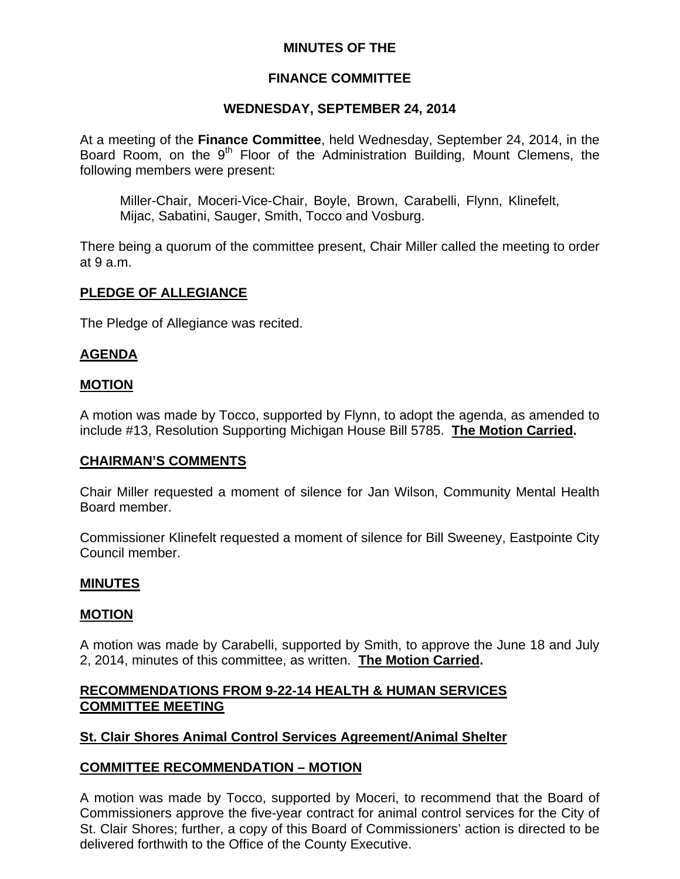## **MINUTES OF THE**

# **FINANCE COMMITTEE**

# **WEDNESDAY, SEPTEMBER 24, 2014**

At a meeting of the **Finance Committee**, held Wednesday, September 24, 2014, in the Board Room, on the 9<sup>th</sup> Floor of the Administration Building, Mount Clemens, the following members were present:

Miller-Chair, Moceri-Vice-Chair, Boyle, Brown, Carabelli, Flynn, Klinefelt, Mijac, Sabatini, Sauger, Smith, Tocco and Vosburg.

There being a quorum of the committee present, Chair Miller called the meeting to order at 9 a.m.

## **PLEDGE OF ALLEGIANCE**

The Pledge of Allegiance was recited.

# **AGENDA**

#### **MOTION**

A motion was made by Tocco, supported by Flynn, to adopt the agenda, as amended to include #13, Resolution Supporting Michigan House Bill 5785. **The Motion Carried.** 

#### **CHAIRMAN'S COMMENTS**

Chair Miller requested a moment of silence for Jan Wilson, Community Mental Health Board member.

Commissioner Klinefelt requested a moment of silence for Bill Sweeney, Eastpointe City Council member.

#### **MINUTES**

## **MOTION**

A motion was made by Carabelli, supported by Smith, to approve the June 18 and July 2, 2014, minutes of this committee, as written. **The Motion Carried.** 

## **RECOMMENDATIONS FROM 9-22-14 HEALTH & HUMAN SERVICES COMMITTEE MEETING**

## **St. Clair Shores Animal Control Services Agreement/Animal Shelter**

## **COMMITTEE RECOMMENDATION – MOTION**

A motion was made by Tocco, supported by Moceri, to recommend that the Board of Commissioners approve the five-year contract for animal control services for the City of St. Clair Shores; further, a copy of this Board of Commissioners' action is directed to be delivered forthwith to the Office of the County Executive.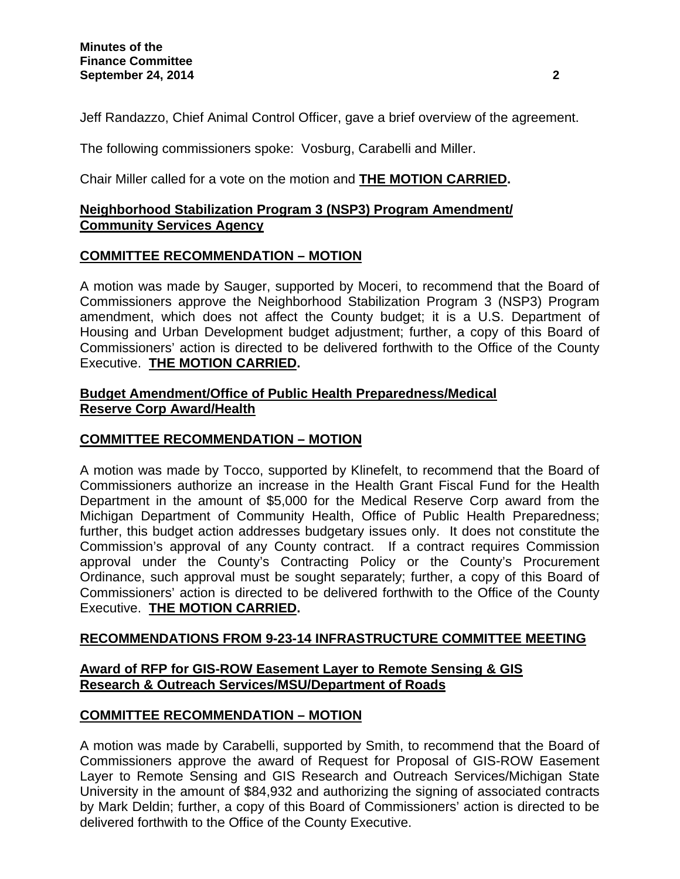Jeff Randazzo, Chief Animal Control Officer, gave a brief overview of the agreement.

The following commissioners spoke: Vosburg, Carabelli and Miller.

Chair Miller called for a vote on the motion and **THE MOTION CARRIED.** 

## **Neighborhood Stabilization Program 3 (NSP3) Program Amendment/ Community Services Agency**

## **COMMITTEE RECOMMENDATION – MOTION**

A motion was made by Sauger, supported by Moceri, to recommend that the Board of Commissioners approve the Neighborhood Stabilization Program 3 (NSP3) Program amendment, which does not affect the County budget; it is a U.S. Department of Housing and Urban Development budget adjustment; further, a copy of this Board of Commissioners' action is directed to be delivered forthwith to the Office of the County Executive. **THE MOTION CARRIED.** 

#### **Budget Amendment/Office of Public Health Preparedness/Medical Reserve Corp Award/Health**

# **COMMITTEE RECOMMENDATION – MOTION**

A motion was made by Tocco, supported by Klinefelt, to recommend that the Board of Commissioners authorize an increase in the Health Grant Fiscal Fund for the Health Department in the amount of \$5,000 for the Medical Reserve Corp award from the Michigan Department of Community Health, Office of Public Health Preparedness; further, this budget action addresses budgetary issues only. It does not constitute the Commission's approval of any County contract. If a contract requires Commission approval under the County's Contracting Policy or the County's Procurement Ordinance, such approval must be sought separately; further, a copy of this Board of Commissioners' action is directed to be delivered forthwith to the Office of the County Executive. **THE MOTION CARRIED.** 

## **RECOMMENDATIONS FROM 9-23-14 INFRASTRUCTURE COMMITTEE MEETING**

## **Award of RFP for GIS-ROW Easement Layer to Remote Sensing & GIS Research & Outreach Services/MSU/Department of Roads**

## **COMMITTEE RECOMMENDATION – MOTION**

A motion was made by Carabelli, supported by Smith, to recommend that the Board of Commissioners approve the award of Request for Proposal of GIS-ROW Easement Layer to Remote Sensing and GIS Research and Outreach Services/Michigan State University in the amount of \$84,932 and authorizing the signing of associated contracts by Mark Deldin; further, a copy of this Board of Commissioners' action is directed to be delivered forthwith to the Office of the County Executive.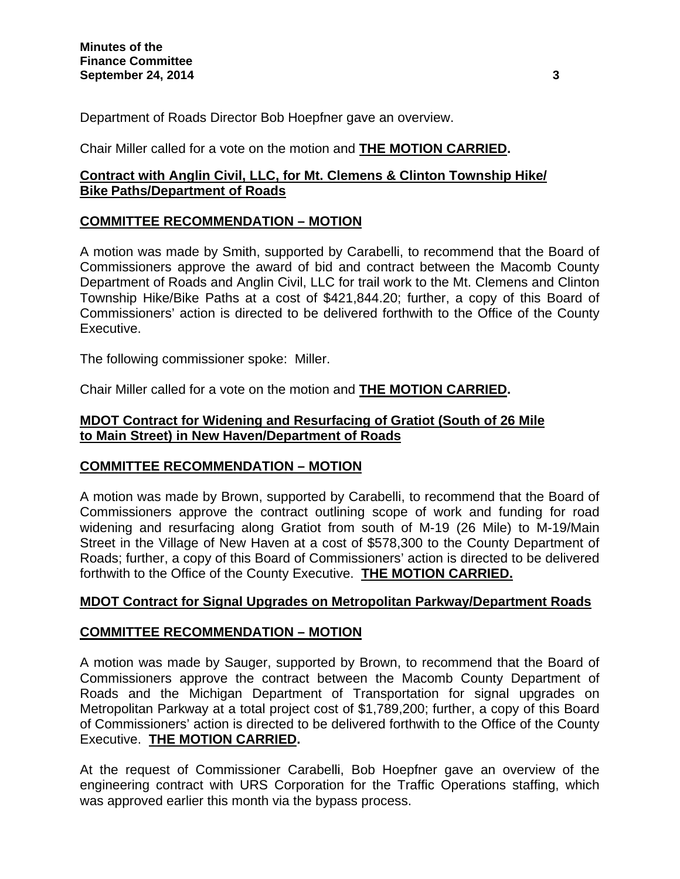Department of Roads Director Bob Hoepfner gave an overview.

# Chair Miller called for a vote on the motion and **THE MOTION CARRIED.**

# **Contract with Anglin Civil, LLC, for Mt. Clemens & Clinton Township Hike/ Bike Paths/Department of Roads**

## **COMMITTEE RECOMMENDATION – MOTION**

A motion was made by Smith, supported by Carabelli, to recommend that the Board of Commissioners approve the award of bid and contract between the Macomb County Department of Roads and Anglin Civil, LLC for trail work to the Mt. Clemens and Clinton Township Hike/Bike Paths at a cost of \$421,844.20; further, a copy of this Board of Commissioners' action is directed to be delivered forthwith to the Office of the County Executive.

The following commissioner spoke: Miller.

Chair Miller called for a vote on the motion and **THE MOTION CARRIED.** 

## **MDOT Contract for Widening and Resurfacing of Gratiot (South of 26 Mile to Main Street) in New Haven/Department of Roads**

## **COMMITTEE RECOMMENDATION – MOTION**

A motion was made by Brown, supported by Carabelli, to recommend that the Board of Commissioners approve the contract outlining scope of work and funding for road widening and resurfacing along Gratiot from south of M-19 (26 Mile) to M-19/Main Street in the Village of New Haven at a cost of \$578,300 to the County Department of Roads; further, a copy of this Board of Commissioners' action is directed to be delivered forthwith to the Office of the County Executive. **THE MOTION CARRIED.**

## **MDOT Contract for Signal Upgrades on Metropolitan Parkway/Department Roads**

## **COMMITTEE RECOMMENDATION – MOTION**

A motion was made by Sauger, supported by Brown, to recommend that the Board of Commissioners approve the contract between the Macomb County Department of Roads and the Michigan Department of Transportation for signal upgrades on Metropolitan Parkway at a total project cost of \$1,789,200; further, a copy of this Board of Commissioners' action is directed to be delivered forthwith to the Office of the County Executive. **THE MOTION CARRIED.** 

At the request of Commissioner Carabelli, Bob Hoepfner gave an overview of the engineering contract with URS Corporation for the Traffic Operations staffing, which was approved earlier this month via the bypass process.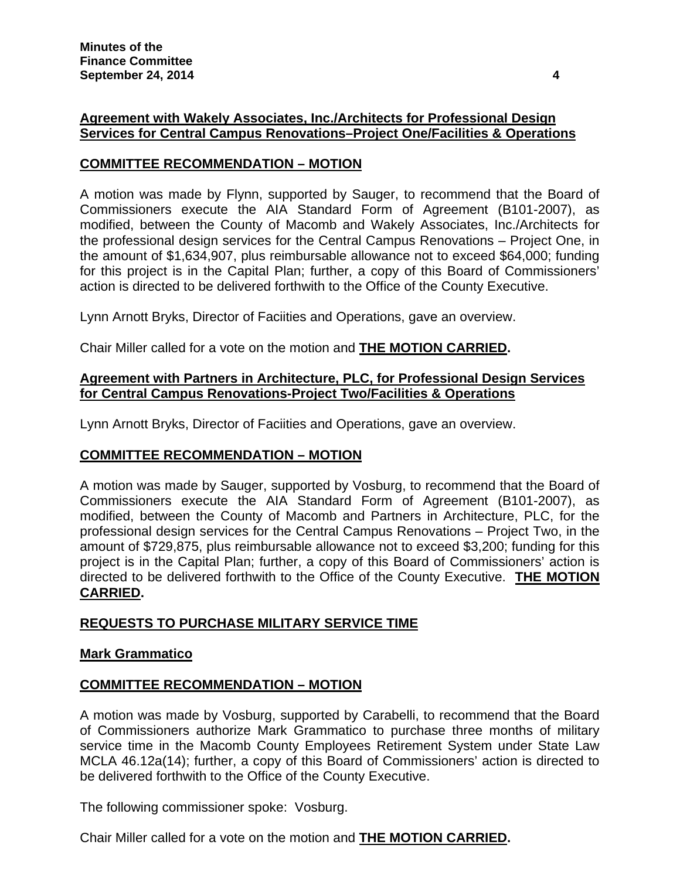# **Agreement with Wakely Associates, Inc./Architects for Professional Design Services for Central Campus Renovations–Project One/Facilities & Operations**

# **COMMITTEE RECOMMENDATION – MOTION**

A motion was made by Flynn, supported by Sauger, to recommend that the Board of Commissioners execute the AIA Standard Form of Agreement (B101-2007), as modified, between the County of Macomb and Wakely Associates, Inc./Architects for the professional design services for the Central Campus Renovations – Project One, in the amount of \$1,634,907, plus reimbursable allowance not to exceed \$64,000; funding for this project is in the Capital Plan; further, a copy of this Board of Commissioners' action is directed to be delivered forthwith to the Office of the County Executive.

Lynn Arnott Bryks, Director of Faciities and Operations, gave an overview.

Chair Miller called for a vote on the motion and **THE MOTION CARRIED.** 

#### **Agreement with Partners in Architecture, PLC, for Professional Design Services for Central Campus Renovations-Project Two/Facilities & Operations**

Lynn Arnott Bryks, Director of Faciities and Operations, gave an overview.

## **COMMITTEE RECOMMENDATION – MOTION**

A motion was made by Sauger, supported by Vosburg, to recommend that the Board of Commissioners execute the AIA Standard Form of Agreement (B101-2007), as modified, between the County of Macomb and Partners in Architecture, PLC, for the professional design services for the Central Campus Renovations – Project Two, in the amount of \$729,875, plus reimbursable allowance not to exceed \$3,200; funding for this project is in the Capital Plan; further, a copy of this Board of Commissioners' action is directed to be delivered forthwith to the Office of the County Executive. **THE MOTION CARRIED.** 

## **REQUESTS TO PURCHASE MILITARY SERVICE TIME**

#### **Mark Grammatico**

## **COMMITTEE RECOMMENDATION – MOTION**

A motion was made by Vosburg, supported by Carabelli, to recommend that the Board of Commissioners authorize Mark Grammatico to purchase three months of military service time in the Macomb County Employees Retirement System under State Law MCLA 46.12a(14); further, a copy of this Board of Commissioners' action is directed to be delivered forthwith to the Office of the County Executive.

The following commissioner spoke: Vosburg.

Chair Miller called for a vote on the motion and **THE MOTION CARRIED.**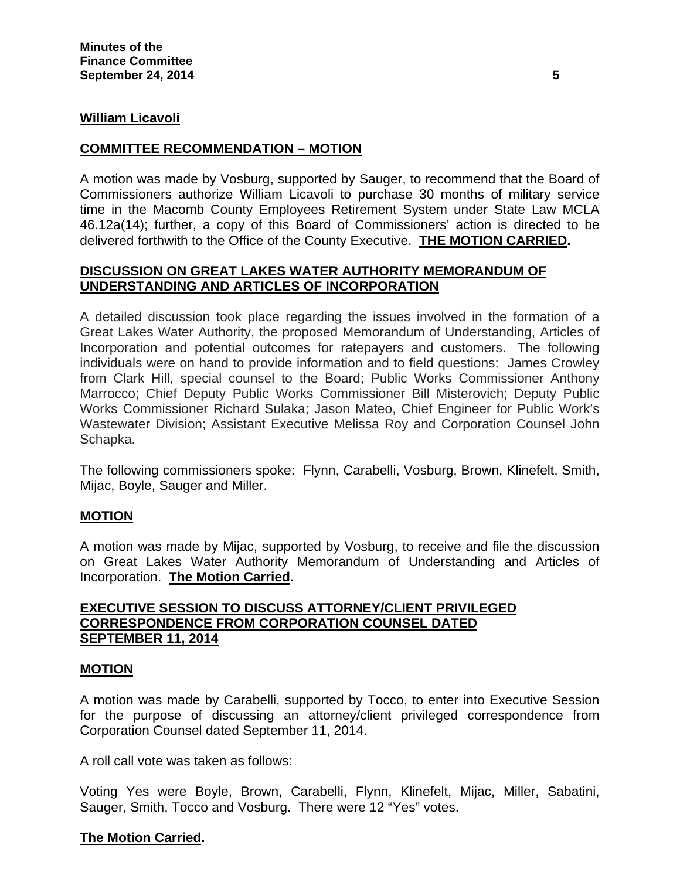#### **William Licavoli**

#### **COMMITTEE RECOMMENDATION – MOTION**

A motion was made by Vosburg, supported by Sauger, to recommend that the Board of Commissioners authorize William Licavoli to purchase 30 months of military service time in the Macomb County Employees Retirement System under State Law MCLA 46.12a(14); further, a copy of this Board of Commissioners' action is directed to be delivered forthwith to the Office of the County Executive. **THE MOTION CARRIED.** 

#### **DISCUSSION ON GREAT LAKES WATER AUTHORITY MEMORANDUM OF UNDERSTANDING AND ARTICLES OF INCORPORATION**

A detailed discussion took place regarding the issues involved in the formation of a Great Lakes Water Authority, the proposed Memorandum of Understanding, Articles of Incorporation and potential outcomes for ratepayers and customers. The following individuals were on hand to provide information and to field questions: James Crowley from Clark Hill, special counsel to the Board; Public Works Commissioner Anthony Marrocco; Chief Deputy Public Works Commissioner Bill Misterovich; Deputy Public Works Commissioner Richard Sulaka; Jason Mateo, Chief Engineer for Public Work's Wastewater Division; Assistant Executive Melissa Roy and Corporation Counsel John Schapka.

The following commissioners spoke: Flynn, Carabelli, Vosburg, Brown, Klinefelt, Smith, Mijac, Boyle, Sauger and Miller.

## **MOTION**

A motion was made by Mijac, supported by Vosburg, to receive and file the discussion on Great Lakes Water Authority Memorandum of Understanding and Articles of Incorporation. **The Motion Carried.** 

#### **EXECUTIVE SESSION TO DISCUSS ATTORNEY/CLIENT PRIVILEGED CORRESPONDENCE FROM CORPORATION COUNSEL DATED SEPTEMBER 11, 2014**

#### **MOTION**

A motion was made by Carabelli, supported by Tocco, to enter into Executive Session for the purpose of discussing an attorney/client privileged correspondence from Corporation Counsel dated September 11, 2014.

A roll call vote was taken as follows:

Voting Yes were Boyle, Brown, Carabelli, Flynn, Klinefelt, Mijac, Miller, Sabatini, Sauger, Smith, Tocco and Vosburg. There were 12 "Yes" votes.

#### **The Motion Carried.**